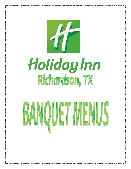

# Holiday Inn<br>Richardson, TX<br>BANQUET MENUS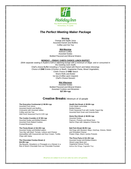

# *The Perfect Meeting Maker Package*

### **Morning**

Orange and Apple Juice Assorted Danish and Muffins Coffee and Hot Tea

### **Mid-Morning**

Refresh Coffee Assorted Sodas Bottled Flavored and Mineral Waters

### **MONDAY – FRIDAY CHEFS CHOICE LUNCH BUFFET**

(With separate seating in Austin's Grill or adjoining lounge with a minimum of 30ppl. and or consumed in the meeting room itself) Chef's choice Buffet including a Tossed Salad with Ranch and Italian dressings Choice of **ONE** Entrée (Chicken or Beef), Vegetarian Pasta, Mixed Vegetables, Chefs Choice of **ONE** Starch Warm Rolls and Butter Ice tea (Coffee upon request) Chef's Choice Dessert

### **Mid Afternoon**

Assorted Sodas Bottled Flavored and Mineral Waters Assorted Cookies and Brownies **\$27.95++pp**

### **Creative Breaks:** Minimum of 10 people

### **The Executive Continental @ \$8.95++pp**

Assorted Fruit Juices Assorted Danish and Muffins Croissants with Assorted Jellies Coffee and Hot Tea *Add Fresh Seasonal Fruit \$ 2.00++pp*

### **The Cookie Crumble @ \$7.95++pp**

Assorted Sodas and Bottled Waters Assorted Oven Baked Cookies Frosted Brownies

### **The Fiesta Break @ \$12.95++pp**

Assorted Sodas and Bottled waters Taco Bar with Beef, Tomato, Lettuce and Cheese Quesadillas with Guacamole and Sour Cream, Tortilla Chips with Salsa

### **The Chocolate Fondue Break @ \$14.95++pp**

Dip Banana, Strawberry or Pineapple on a Skewer in a flow of Warm Chocolate from our Chocolate Fountain

### **Health Nut Break @ \$9.95++pp**

Fresh Made Lemonade Bottled Waters Fresh Seasonal Fruit with Vanilla Yogurt Dip Assorted Nutri Grain and Granola Bars

### **Home Run Break @ \$8.95++pp**

Assorted Sodas Popcorn, Pretzels and Mixed Nuts Nacho Chips with Jalapeno Cheese Dip

### **Ball Park Break \$8.95++pp**

Hot Dogs with Mustard, Mayo, Ketchup, Onions, Relish and Shredded Cheese Potato Chips, Warm Jumbo Pretzels

### **The Pizza Party @ \$11.95++pp**

Assorted Sodas and Bottled Waters Sliced Large Meat and Vegetarian Deluxe Pizzas Inferno Hot Wings, Vegetable Tray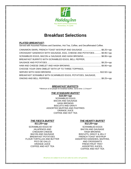

# **Breakfast Selections**

### *PLATED BREAKFAST***:**

Served with Assorted Pastries and Danishes, Hot Tea, Coffee, and Decaffeinated Coffee.

| CINNAMON SWIRL FRENCH TOAST W/SYRUP AND SAUSAGE \$8.25++pp           |  |
|----------------------------------------------------------------------|--|
| CROISSANT SANDWICH WITH SAUSAGE, EGG, CHEESE AND POTATOES \$9.95++pp |  |
| SCRAMBLED EGGS, BACON or SAUSAGE AND HASH BROWNS\$8.95++pp           |  |
| BREAKFAST BURRITO WITH SCRAMBLED EGGS, BELL PEPPER,                  |  |
|                                                                      |  |
|                                                                      |  |
| CHOOSE YOUR OWN OMELET WITH UP TO THREE TOPPINGS,                    |  |
|                                                                      |  |
| BREAKFAST SCRAMBLE WITH SCARMBLED EGGS, POTATOES, SAUSAGE,           |  |
|                                                                      |  |

### *BREAKFAST BUFFETS***:**

\*\*Minimum of 20 people for breakfast buffets. Serve time: 1.5 hours\*\*

### *THE STANDARD BUFFET*

*\$10.00++pp* SCRAMBLED EGGS BACON AND SAUSAGE HASH BROWNS BISCUITS AND GRAVY ASSORTED MUFFINS AND PASTRIES ORANGE JUICE COFFEE AND HOT TEA

### *THE FIESTA BUFFET \$11.25++pp*

SCRAMBLED EGGS W/ JALAPENOS AND CHEDDAR CHEESE BACON AND SAUSAGE BREAKFAST POTATOES FLOUR TORTILLAS AND BUTTER PICO DE GALLO ORANGE JUICE COFFEE AND HOT TEA

### *THE HEARTY BUFFET \$12.25++pp*

SCRAMBLED EGGS BACON AND SAUSAGE HASH BROWNS BISCUITS, GRAVY & JELLY FRENCH TOAST W/SYRUP ASSORTED DANISHES, MUFFINS, AND CROISSANTS FRESH FRUIT TRAY ASSORTED JUICES, COFFEE AND HOT TEA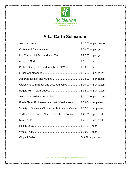

# **A La Carte Selections**

| Hot Cocoa, Hot Tea, and Iced Tea \$ 27.00++ per gallon                  |
|-------------------------------------------------------------------------|
|                                                                         |
| Bottled Spring, Flavored, and Mineral Water\$ 3.00++ each               |
|                                                                         |
|                                                                         |
| Croissants with Butter and assorted Jelly \$ 30.00++ per dozen          |
|                                                                         |
| Assorted Cookies or Brownies\$ 21.00++ per dozen                        |
| Fresh Sliced Fruit Assortment with Vanilla Yogurt \$7.95++ per person   |
| Variety of Domestic Cheeses with Assorted Crackers. \$8.95++ per person |
| Tortilla Chips, Potato Chips, Pretzels, or Popcorn  \$ 21.00++ per bowl |
|                                                                         |
|                                                                         |
|                                                                         |
|                                                                         |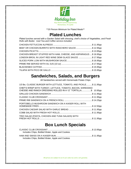

\*\*20 Person Minimum for Plated Meals\*\* 

# **Plated Lunches**

*Plated lunches served with a Garden Salad with dressing, chef's choice of Vegetables, and Fresh Rolls with Butter. Iced Tea and Coffee service included.* 

| BEEF OR CHICKEN BURRITO WITH RANCHERO SAUCE \$ 12.95pp            |  |
|-------------------------------------------------------------------|--|
|                                                                   |  |
| CHICKEN BREAST STUFFED WITH HAM, CHEESE, AND ASPARAGUS  \$16.95pp |  |
| LONDON BROIL IN LIGHT RED WINE DEMI GLACE SAUCE \$ 17.95pp        |  |
|                                                                   |  |
|                                                                   |  |
|                                                                   |  |
|                                                                   |  |
|                                                                   |  |

# **Sandwiches, Salads, and Burgers**

All Sandwiches served with Homemade Potato Chips

| 1/3 lbs. CLASSIC BURGER WITH LETTUCE, TOMATO, AND PICKLE\$ 11.95pp |  |
|--------------------------------------------------------------------|--|
| CHEF'S WRAP WITH TURKEY, LETTUCE, TOMATO, BACON, SHREDDED          |  |
| CHESSE AND RANCH DRESSING ROLLED IN A 12" TORTILLA\$ 10.95pp       |  |
|                                                                    |  |
|                                                                    |  |
|                                                                    |  |
| PORTOBELLO MUSHROOM SANDWICH ON A KAISER ROLL WITH                 |  |
|                                                                    |  |
|                                                                    |  |
|                                                                    |  |
| TRIO SALAD (PASTA, CHICKEN AND TUNA SALADS) WITH                   |  |
|                                                                    |  |

# **Box Lunch Specials**

| Includes Chips, Bottled Water, Apple and Cookies |  |
|--------------------------------------------------|--|
|                                                  |  |
| Includes Chips, Bottled Water, Apple and Cookies |  |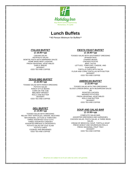

# **Lunch Buffets**

\*\*40 Person Minimum for Buffets\*\*

### *ITALIAN BUFFET*

*@ 18.95++pp*

CAESAR SALAD ANTIPASTO SALAD BOWTIE PASTA WITH MARINARA SAUCE HOME MADE BEEF LASAGNA FRESH SEASONAL VEGETABLES GARLIC BREAD DESSERT ICED TEA AND COFFEE

### *TEXAS BBQ BUFFET @ 22.95++pp*

TOSSED SALAD WITH RANCH DRESSING POTATO SALAD RANCH STYLE BEANS CORN ON THE COB BBQ BEEF BRISKET ROLLS AND BUTTER DESSERT ICED TEA AND COFFEE

### *DELI BUFFET @ 14.95++pp*

TOSSED SALAD WITH DRESSING RELISH TRAY W/PICKLES, ONIONS, MUSTARD MAYONAISSE, LETTUCE & TOMATOES THREE ASSORTED COLD CUTS THREE ASSORTED CHEESES ASSORTED BREADS & CROISSANTS POTATO SALAD OR COLE SLAW POTATO CHIPS COOKIES AND BROWNIES ICED TEA AND COFFEE

### *FIESTA FEAST BUFFET*

*@ 18.95++pp*

TOSSED SALAD WITH SOUTHWEST DRESSING SPANISH RICE CHARRO BEANS CHICKEN FAJITAS BEEF TACOS LETTUCE, TOMATOES, CHEESE, AND GUACAMOLE TORTILLA CHIPS WITH SALSA FLOUR AND CORN TORTILLAS WITH BUTTER DESSERT ICED TEA AND COFFEE

### *AMERICAN BUFFET @ 22.95++pp*

TOSSED SALAD WITH TWO DRESSINGS SLICED LONDON BROIL WITH MUSHROOM SAUCE OR ROASTED CHICKEN MASHED POTATOES FRESH SEASONAL VEGETABLES ROLLS AND BUTTER DESSERT ICED TEA AND COFFEE

### *SOUP AND SALAD BAR @ 13.95++pp*

COMPLETE SALAD BAR, ASSORTED DRESSINGS AND GARNISHES, CHICKEN SALAD, PASTA SALAD, & THREE BEAN SALAD. CREAM OF BROCCOLI SOUP, TORTILLA SOUP FRESH WHEAT AND SOURDOUGH ROLLS FRESH SEASONAL FRUIT TRAY DESSERT ICED TEA AND COFFEE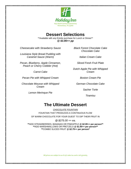

# **Dessert Selections**

\*\*Available with any Entrée purchase for Lunch or Dinner\*\* *@ \$3.95++ pp*

*Cheesecake with Strawberry Sauce*

*Louisiana Style Bread Pudding with Caramel Sauce (Warm)*

*Pecan, Blueberry, Apple Cinnamon, Peach or Cherry Cobbler (Hot)*

*Carrot Cake*

*Pecan Pie with Whipped Cream*

*Chocolate Mousse with Whipped Cream*

*Lemon Merinque Pie*

*Black Forest Chocolate Cake Chocolate Cake*

*Italian Cream Cake*

*Sliced Fresh Fruit Plate* 

*Dutch Apple Pie with Whipped Cream*

*Boston Cream Pie*

*German Chocolate Cake*

*Sacher Torte*

*Tiramisu*

# **The Ultimate Dessert**

*CHOCOLATE FOUNTAIN* FOUNTAIN THAT PRODUCES A CONTINUOUS FLOW OF WARM CHOCOLATE FOR YOUR GUEST TO DIP THEIR FRUIT IN

*@ \$275.00 ++ ea.*

**\*\***ADD STRAWBERRIES, BANANAS OR PINEAPPLE *@ \$2.95++* **per person\*\* \*\***ADD MARSHMALLOWS OR PRETZELS *@ \$1.95++* **per person\*\* \*\***COMBO SLICED FRUIT *@ \$2.75++* **per person\***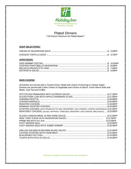

# Plated Dinners

\*\*20 Person Minimum for Plated Meals\*\*

### *SOUP SELECTIONS:*

### *APPETIZERS:*

### *MAIN COURSE:*

*All entrees are served with a Tossed Green Salad with choice of dressing or Caesar Salad. Entrees are served with Chefs Choice of Vegetable and Choice of Starch. Fresh Warm Rolls and Butter, Iced Tea and Coffee* 

| STUFFED CHICKEN, (WITH PROSCHUTTO HAM, MONTERREY JACK CHEESE, & FRESH ASPARAGUS) \$22.95PP |  |
|--------------------------------------------------------------------------------------------|--|
| MONTEREY CHICKEN, (OLIVES, PEPPERS, TOMATOES, MONTEREY JACK CHEESE, BBQ SAUCE) \$20.95PP   |  |
|                                                                                            |  |
|                                                                                            |  |
|                                                                                            |  |
|                                                                                            |  |
|                                                                                            |  |
|                                                                                            |  |
|                                                                                            |  |
|                                                                                            |  |
|                                                                                            |  |
|                                                                                            |  |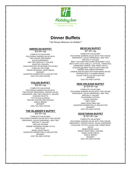

# **Dinner Buffets**

\*\*40 Person Minimum for Buffets\*\*

### **AMERICAN BUFFET**

\$23.95++pp

COMPLETE SALAD BAR: FEATURING GARDEN SALAD WITH TWO HOUSE DRESSINGS, SALAD GARNISHES, AND TWO SPECIALTY SALADS ROASTED CHICKEN OVEN ROASTED OR MASHED POTATOES CORN ON THE COBB FRESH SEASONAL VEGETABLES DESSERT ASSORTED DINNER ROLLS AND BUTTER ICED TEA AND COFFEE

### **ITALIAN BUFFET**

\$28.95++pp COMPLETE SALAD BAR: FEATURING GARDEN SALAD WITH TWO HOUSE DRESSINGS, CAESAR SALAD, GARNISHES, AND TWO SPECIALTY SALADS CHICKEN PICATTA FETTUCCINI ALFREDO GRILLED ZUCHINI AND SQUASH GARLIC BREAD DESSERT ICED TEA AND COFFEE

### **THE ISLANDER'S BUFFET**

\$32.95++pp COMPLETE SALAD BAR: FEATURING GARDEN SALAD WITH TWO HOUSE DRESSINGS, SALAD GARNISHES, AND TWO SPECIALTY SALADS GRILLED SALMON SHRIMP SKEWERS SCAMPI STYLE RICE PILAF MIXED VEGETABLES ASSORTED DINNER ROLLS AND BUTTER DESSERT ICED TEA AND COFFEE

### **MEXICAN BUFFET**

\$27.95++pp

COMPLETE SALAD BAR: FEATURING GARDEN SALAD WITH TWO HOUSE DRESSINGS, SALAD GARNISHES, AND TWO SPECIALTY SALADS BEEF TACO BAR INCLUDING SEASONED TACO MEAT WITH TACO SHELLS, LETTUCE, TOMATOES, SHREDDED CHEESE, AND FRESH SALSA CHICKEN OR BEEF FAJITAS WITH GRILLED ONIONS AND GREEN PEPPERS CHEESE ENCHILADAS WITH RANCHERO SAUCE SPANISH RICE & CHARRO BEANS FLOUR TORTILLAS WITH BUTTER DESSERT ICED TEA AND COFFEE

### **NEW ORLEANS BUFFET**

@ \$29.95++pp

COMPLETE SALAD BAR: FEATURING GARDEN SALAD WITH TWO HOUSE DRESSINGS, SALAD GARNISHES, AND TWO SPECIALTY SALADS BLACKENED CATFISH CAJUN CHICKEN DIRTY RICE OKRA VEGETABLE MIX ASSORTED DINNER ROLLS AND BUTTER DESSERT ICED TEA AND COFFEE

## **VEGETARIAN BUFFET**

@ \$21.95++pp

COMPLETE SALAD BAR: FEATURING GARDEN SALAD WITH TWO HOUSE DRESSINGS, CAESAR SALAD, SALAD GARNISHES, COLESLAW, POTATO SALAD AND THREE BEAN SALAD MINESTRONE SOUP BAKED VEGETABLE LASAGNA MIXED VEGETABLES GARLIC BREAD DESSERT ICED TEA AND COFFEE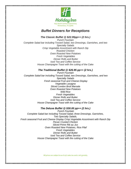

# *Buffet Dinners for Receptions*

*The Classic Buffet @ \$22.95pp++ (2 hrs.)* 

*Punch Fountain Complete Salad bar including Tossed Salad, two Dressings, Garnishes, and two Specialty Salads Crisp Vegetable Assortment with Ranch Dip Roasted Chicken Oven Roasted New Potatoes Fresh Vegetables Dinner Rolls and Butter Iced Tea and Coffee Service House Champagne Toast with the cutting of the Cake*

### *The Traditional Buffet @ \$26.95 pp++ (2 hrs.)*

*Punch Fountain Complete Salad bar including Tossed Salad, two Dressings, Garnishes, and two Specialty Salads Fresh seasonal Fruit and Cheese Display Vegetable Lasagna Sliced London Broil Marsala Oven Roasted New Potatoes Wild Rice Fresh Vegetables Dinner Rolls and Butter Iced Tea and Coffee Service House Champagne Toast with the cutting of the Cake*

### *The Deluxe Buffet @ \$30.00 pp++ (2 hrs.)*

*Punch Fountain Complete Salad bar including Tossed Salad, three Dressings, Garnishes, Two Specialty Salads, Fresh seasonal Fruit and Cheese Display Crisp Vegetable Assortment with Ranch Dip Pecan Crusted Chicken Sliced Prime Rib au Jus Oven Roasted New Potatoes, Rice Pilaf Fresh Vegetables Dinner Rolls and Butter Iced Tea and Coffee Service House Champagne Toast with the cutting of the Cake*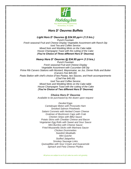

# *Hors D' Oeuvres Buffets*

### *Light Hors D' Oeuvres @ \$24.95 pp++ (1.5 hrs.)*

*Punch Fountain Fresh seasonal Fruit and Cheese Display Vegetable Assortment with Ranch Dip Iced Tea and Coffee Service Mixed Nuts and Wedding Mints on the Cake table House Champagne Toast with the cutting of the Cake (You're Choice of Three different Hors D' Oeuvres)*

### *Heavy Hors D' Oeuvres @ \$34.95 pp++ (1.5 hrs.)*

*Punch Fountain Fresh seasonal Fruit and Cheese Display Vegetable Assortment with Cucumber-Dill Dip Prime Rib Carvers Stations with Mustard, Mayonnaise, au Jus, Dinner Rolls and Butter (Carvers Fee \$45.00) Pasta Station with chef's choice of two Pastas, two Sauces, and fresh accompaniments (Chef Fee \$45.00) Iced Tea and Coffee Service Mixed Nuts and Wedding Mints on the Cake table House Champagne Toast with the cutting of the Cake (You're Choice of Two different Hors D' Oeuvres)*

> *Choice Hors D' Oeuvres Available to be purchased by the dozen upon request*

*Deviled Eggs Cantaloupe Melon with Prosciutto Ham Smoked Salmon Pinwheels Salami Coronets with Herbed Cream Cheese Gratinee of Mushroom Caps with Crab Chicken Strips with BBQ Sauce Potato Skins with Cheddar Cheese and Bacon Vegetarian Egg Rolls with Sweet and Sour Sauce Mini Burritos with Cheese Sauce Fried Mozzarella Sticks with Marinara Sauce Chicken Drummettes Swedish Meatballs Mini Quiche Stuffed Jalapeños Smokey Sausage Links Quesadillas with Sour Cream and Guacamole Spinach and Feta Cheese Phyllos*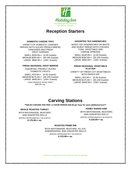

# **Reception Starters**

### **DOMESTIC CHEESE TRAY**

VARIETY OF DOMESTIC CHEESES SERVED WITH SLICED FRENCH BREAD, CRACKERS AND FRESH FRUIT GARNISH

SMALL \$100.00++ (0-35 Guests) MEDIUM \$250.00++ (35-150 Guests) LARGE \$500.00++ (150+ Guests)

### **FRESH SEASONAL FRUIT MIRROR**

ASSORTED, FRESHLY SLICED DOMESTIC FRUITS

SMALL \$75.00++ (0-35 Guests) MEDIUM \$175.00++ (35-150 Guests) LARGE \$400.00++ (150+ Guests) \*\*ADD PINAPPLE SHOW TREE\*\* \$25.00+ ea.

### **ASSORTED TEA SANDWICHES**

MIXED TEA SANDWICHES ON WHITE AND WHEAT BREAD WITH CHICKEN, TUNA, VEGETABLE AND CHEESE SPREADS

SMALL \$100.00++ (0-35 Guests) MEDIUM \$250.00++ (35-150 Guests) LARGE \$500.00++ (150+ Guests)

### **FRESH SEASONAL VEGETABLE PLATTER**

VARIETY OF FRESH CUT VEGETABLES WITH RANCH DIP

SMALL \$75.00++ (0-35 Guests) MEDIUM \$175.00++ (35-150 Guests) LARGE \$400.00++ (150+ Guests)

# **Carving Stations**

**\*\*\$45.00 CARVING FEE PER 1.5 HOUR PERIOD \$20.00 per hour for each additional hour\*\***

### **WHOLE ROASTED TURKEY**

WITH MAYONAISSE, MUSTARD, AND ASSORTED ROLLS SERVES APPROXIMATELY 40 GUESTS **\$ 175.00++ ea.**

### **HONEY BAKED HAM**

WITH MAYONAISSE, MUSTARD, AND ASSORTED ROLLS SERVES APPROXIMATELY 50 GUESTS **\$ 225.00++ ea.**

### **ROASTED PRIME RIB**

WITH MAYONNAISE, MUSTARD, AU JUS, HORSERADISH, AND ASSORTED ROLLS SERVES APPROXIMATELY 50 GUESTS **\$ 375.00++ ea.**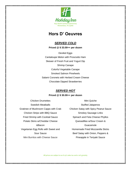

# **Hors D' Oeuvres**

# *SERVED COLD*

**Priced @ \$ 33.00++ per dozen**

Deviled Eggs Cantaloupe Melon with Prosciutto Ham Skewer of Fresh Fruit and Yogurt Dip Shrimp Canape Colorful Vegetable Canape Smoked Salmon Pinwheels Salami Coronets with Herbed Cream Cheese Chocolate Dipped Strawberries

# *SERVED HOT*

### **Priced @ \$ 30.00++ per dozen**

- Chicken Drumettes Swedish Meatballs Gratinee of Mushroom Capps with Crab Chicken Strips with BBQ Sauce Fried Shrimp with Cocktail Sauce Potato Skins w/Cheddar Cheese &Bacon Vegetarian Egg Rolls with Sweet and Sour Sauce Mini Burritos with Cheese Sauce
- Mini Quiche Stuffed Jalapenos Chicken Satay with Spicy Peanut Sauce Smokey Sausage Links Spinach and Feta Cheese Phyllos Quesadillas w/Sour Cream & Guacamole Homemade Fried Mozzarella Sticks Beef Satay with Onion, Peppers & Pineapple in Teriyaki Sauce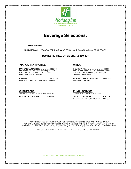

# **Beverage Selections:**

### **DRINK PACKAGE**

UNLIMITED CALL BRANDS, BEER AND WINE FOR 3 HOURS \$33.00 inclusive PER PERSON

### **DOMESTIC KEG OF BEER…..\$350.00+**

### **MARGARITA MACHINE WINES**

MARGARITA MACHINE……………\$300.00+ HOUSE WINE……………………….\$30.00+ INCLUDES MACHINE RENTAL WITH TEQUILA AND PER 1.5 LITER BOTTLE; 9-10 GLASSES PER BOTTLE MIX, SERVES APPROXIMATLY 80 SERVINGS, FOR CHARDONNAY, MERLOT, ZINFANDEL, OR ADDITIONAL BATCH IS \$100.00+ CABERNET SAUVIGNON

PREMIUM …………………………....\$425.00+ BOTTLED PREMIUM WINES……. WINE LIST WITH JOSE CUERVO GOLD AND GRAND MARNIER AVAILABLE BY REQUEST

SERVED BY THE BOTTLE; 7-8 GLASSES PER BOTTLE. SERVED BY THE GALLON (+/- 40 CUPS)

### **CHAMPAGNE PUNCH SERVICE**

HOUSE CHAMPAGNE…………\$18.00+ TROPICAL PUNCHES…...………. \$35.00+ HOUSE CHAMPAGNE PUNCH…. \$55.00+

\*BARTENDER FEE OF \$75.00 APPLIES FOR FOUR HOURS FOR ALL CASH AND HOSTED BARS.\* \*DUE TO LIQUOR LICENSE RESTRICTIONS NO ALCOHOL CAN BE PRESENT IN ROOM AFTER 12 MID NIGHT \* \*PM SOCIAL EVENTS WITH ACCESS TO ALCOHOL REQUIRE SECURITY @ \$27.00 WITH A FOUR HOUR MINIMUM.\*

20% GRATUITY ADDED TO ALL HOSTED BEVERAGES. SALES TAX INCLUDED.